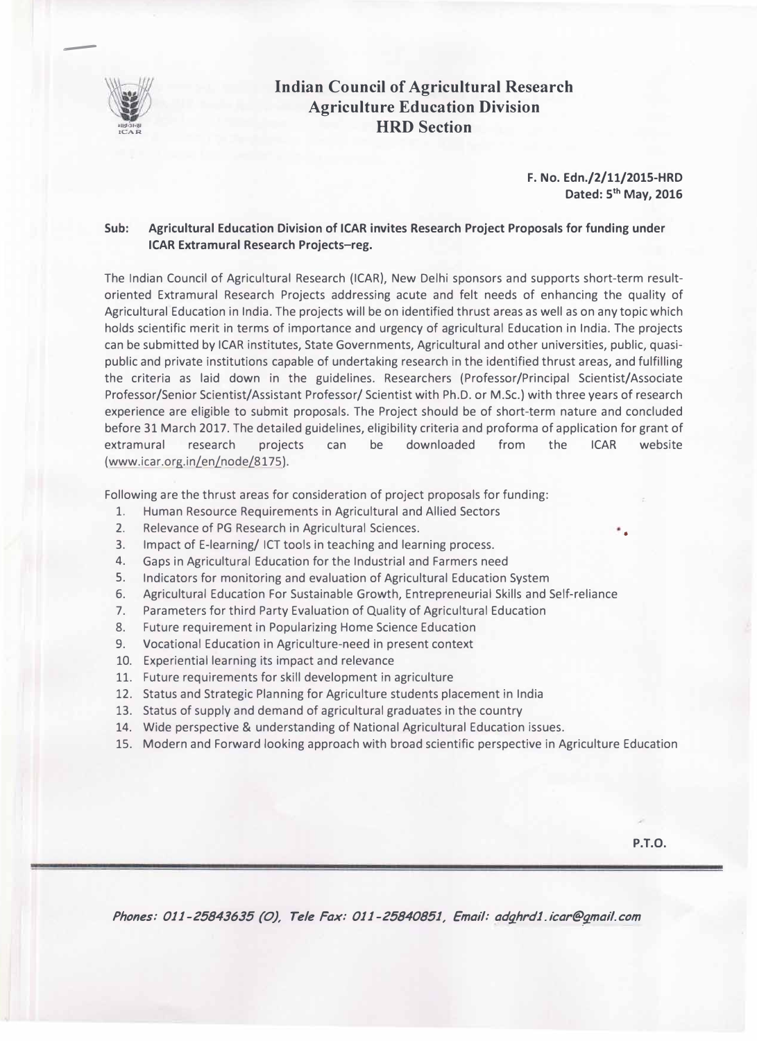

--

## **Indian Council of Agricultural Research Agriculture Education Division HRD Section**

**F. No. Edn./2/11/2015-HRD Dated: 5th May, 2016** 

## **Sub: Agricultural Education Division of ICAR invites Research Project Proposals for funding under ICAR Extramural Research Projects-reg.**

The Indian Council of Agricultural Research (ICAR}, New Delhi sponsors and supports short-term resultoriented Extramural Research Projects addressing acute and felt needs of enhancing the quality of Agricultural Education in India. The projects will be on identified thrust areas as well as on any topic which holds scientific merit in terms of importance and urgency of agricultural Education in India. The projects can be submitted by ICAR institutes, State Governments, Agricultural and other universities, public, quasipublic and private institutions capable of undertaking research in the identified thrust areas, and fulfilling the criteria as laid down in the guidelines. Researchers (Professor/Principal Scientist/ Associate Professor/Senior Scientist/Assistant Professor/ Scientist with Ph.D. or M.Sc.) with three years of research experience are eligible to submit proposals. The Project should be of short-term nature and concluded before 31 March 2017. The detailed guidelines, eligibility criteria and proforma of application for grant of extramural research projects can be downloaded from the ICAR website (www.icar.org. in/en/node/8175 ).

Following are the thrust areas for consideration of project proposals for funding:

- 1. Human Resource Requirements in Agricultural and Allied Sectors
- 2. Relevance of PG Research in Agricultural Sciences.
- 3. Impact of E-learning/ ICT tools in teaching and learning process.
- 4. Gaps in Agricultural Education for the Industrial and Farmers need
- 5. Indicators for monitoring and evaluation of Agricultural Education System
- 6. Agricultural Education For Sustainable Growth, Entrepreneurial Skills and Self-reliance
- 7. Parameters for third Party Evaluation of Quality of Agricultural Education
- 8. Future requirement in Popularizing Home Science Education
- 9. Vocational Education in Agriculture-need in present context
- 10. Experiential learning its impact and relevance
- 11. Future requirements for skill development in agriculture
- 12. Status and Strategic Planning for Agriculture students placement in India
- 13. Status of supply and demand of agricultural graduates in the country
- 14. Wide perspective & understanding of National Agricultural Education issues.
- 15. Modern and Forward looking approach with broad scientific perspective in Agriculture Education

•

Phones: 011-25843635 (O), Tele Fax: 011-25840851, Email: adghrd1.icar@gmail.com